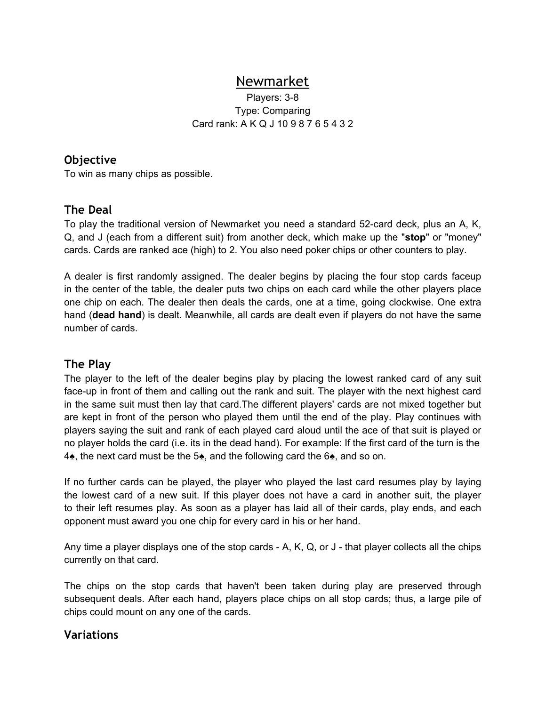# Newmarket

Players: 3-8 Type: Comparing Card rank: A K Q J 10 9 8 7 6 5 4 3 2

#### **Objective**

To win as many chips as possible.

## **The Deal**

To play the traditional version of Newmarket you need a standard 52-card deck, plus an A, K, Q, and J (each from a different suit) from another deck, which make up the "**stop**" or "money" cards. Cards are ranked ace (high) to 2. You also need poker chips or other counters to play.

A dealer is first randomly assigned. The dealer begins by placing the four stop cards faceup in the center of the table, the dealer puts two chips on each card while the other players place one chip on each. The dealer then deals the cards, one at a time, going clockwise. One extra hand (**dead hand**) is dealt. Meanwhile, all cards are dealt even if players do not have the same number of cards.

## **The Play**

The player to the left of the dealer begins play by placing the lowest ranked card of any suit face-up in front of them and calling out the rank and suit. The player with the next highest card in the same suit must then lay that card.The different players' cards are not mixed together but are kept in front of the person who played them until the end of the play. Play continues with players saying the suit and rank of each played card aloud until the ace of that suit is played or no player holds the card (i.e. its in the dead hand). For example: If the first card of the turn is the 4♠, the next card must be the 5♠, and the following card the 6♠, and so on.

If no further cards can be played, the player who played the last card resumes play by laying the lowest card of a new suit. If this player does not have a card in another suit, the player to their left resumes play. As soon as a player has laid all of their cards, play ends, and each opponent must award you one chip for every card in his or her hand.

Any time a player displays one of the stop cards - A, K, Q, or J - that player collects all the chips currently on that card.

The chips on the stop cards that haven't been taken during play are preserved through subsequent deals. After each hand, players place chips on all stop cards; thus, a large pile of chips could mount on any one of the cards.

#### **Variations**